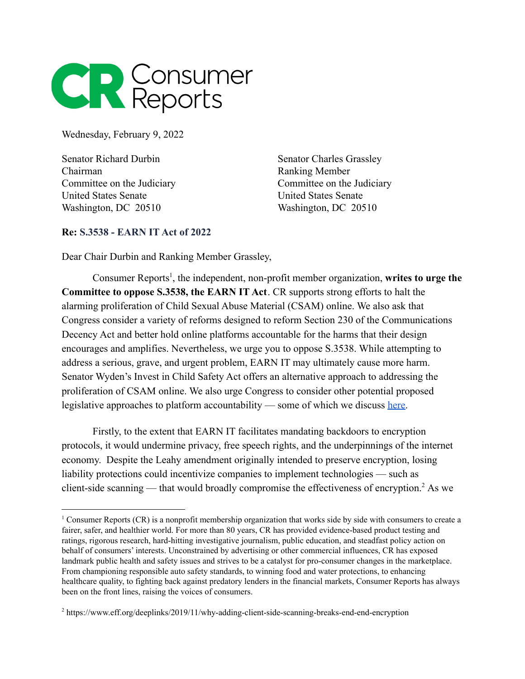

Wednesday, February 9, 2022

Senator Richard Durbin Chairman Committee on the Judiciary United States Senate Washington, DC 20510

Senator Charles Grassley Ranking Member Committee on the Judiciary United States Senate Washington, DC 20510

## **Re: S.3538 - EARN IT Act of 2022**

Dear Chair Durbin and Ranking Member Grassley,

Consumer Reports<sup>1</sup>, the independent, non-profit member organization, writes to urge the **Committee to oppose S.3538, the EARN IT Act**. CR supports strong efforts to halt the alarming proliferation of Child Sexual Abuse Material (CSAM) online. We also ask that Congress consider a variety of reforms designed to reform Section 230 of the Communications Decency Act and better hold online platforms accountable for the harms that their design encourages and amplifies. Nevertheless, we urge you to oppose S.3538. While attempting to address a serious, grave, and urgent problem, EARN IT may ultimately cause more harm. Senator Wyden's Invest in Child Safety Act offers an alternative approach to addressing the proliferation of CSAM online. We also urge Congress to consider other potential proposed legislative approaches to platform accountability — some of which we discuss [here.](https://medium.com/cr-digital-lab/crs-section-230-2020-legislative-round-up-4683c309fcb3)

Firstly, to the extent that EARN IT facilitates mandating backdoors to encryption protocols, it would undermine privacy, free speech rights, and the underpinnings of the internet economy. Despite the Leahy amendment originally intended to preserve encryption, losing liability protections could incentivize companies to implement technologies — such as client-side scanning — that would broadly compromise the effectiveness of encryption.<sup>2</sup> As we

<sup>&</sup>lt;sup>1</sup> Consumer Reports (CR) is a nonprofit membership organization that works side by side with consumers to create a fairer, safer, and healthier world. For more than 80 years, CR has provided evidence-based product testing and ratings, rigorous research, hard-hitting investigative journalism, public education, and steadfast policy action on behalf of consumers' interests. Unconstrained by advertising or other commercial influences, CR has exposed landmark public health and safety issues and strives to be a catalyst for pro-consumer changes in the marketplace. From championing responsible auto safety standards, to winning food and water protections, to enhancing healthcare quality, to fighting back against predatory lenders in the financial markets, Consumer Reports has always been on the front lines, raising the voices of consumers.

<sup>2</sup> https://www.eff.org/deeplinks/2019/11/why-adding-client-side-scanning-breaks-end-end-encryption